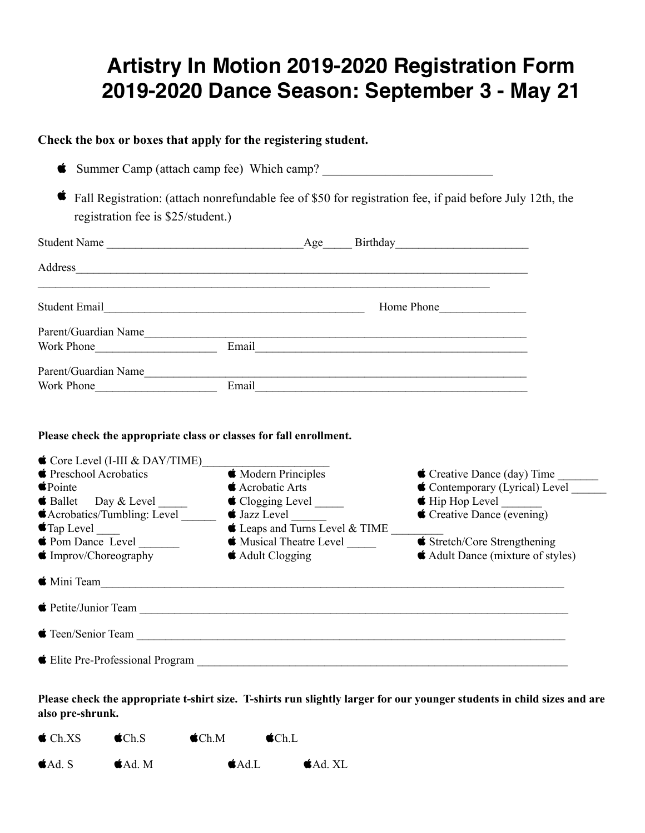# **Artistry In Motion 2019-2020 Registration Form 2019-2020 Dance Season: September 3 - May 21**

## **Check the box or boxes that apply for the registering student.**

|                                                                                                                                                                    | Address_                                                   |                                                                             |
|--------------------------------------------------------------------------------------------------------------------------------------------------------------------|------------------------------------------------------------|-----------------------------------------------------------------------------|
|                                                                                                                                                                    | Student Email Home Phone                                   |                                                                             |
|                                                                                                                                                                    |                                                            |                                                                             |
|                                                                                                                                                                    |                                                            |                                                                             |
|                                                                                                                                                                    |                                                            |                                                                             |
|                                                                                                                                                                    |                                                            |                                                                             |
| Please check the appropriate class or classes for fall enrollment.<br>$\bullet$ Core Level (I-III & DAY/TIME)<br><b>■</b> Preschool Acrobatics<br>$\bullet$ Pointe | <b>K</b> Modern Principles<br>$\triangle$ Acrobatic Arts   | Creative Dance (day) Time                                                   |
|                                                                                                                                                                    | $\bigstar$ Clogging Level $\_\_$                           | Contemporary (Lyrical) Level ______                                         |
|                                                                                                                                                                    | $\bullet$ Jazz Level $\_\_$                                | Creative Dance (evening)                                                    |
|                                                                                                                                                                    | $\bullet$ Leaps and Turns Level & TIME $\_\_$              |                                                                             |
|                                                                                                                                                                    | <b>Musical Theatre Level</b><br>$\triangle$ Adult Clogging | <b>Stretch/Core Strengthening</b><br><b>Adult Dance (mixture of styles)</b> |
| <b>Acrobatics/Tumbling:</b> Level ______<br>$\bullet$ Tap Level $\_\_$<br>♦ Pom Dance Level<br>$\bullet$ Improv/Choreography                                       | $\bullet$ Mini Team                                        |                                                                             |

**Please check the appropriate t-shirt size. T-shirts run slightly larger for our younger students in child sizes and are also pre-shrunk.**

| $\bullet$ Ch.XS | $\bigcirc$ Ch.S | $\bigtriangleup$ Ch.M | $\bullet$ Ch.L     |
|-----------------|-----------------|-----------------------|--------------------|
| $Ad$ . S        | $A_d$ . M       | $\triangle$ Ad.L      | $\triangle$ Ad. XL |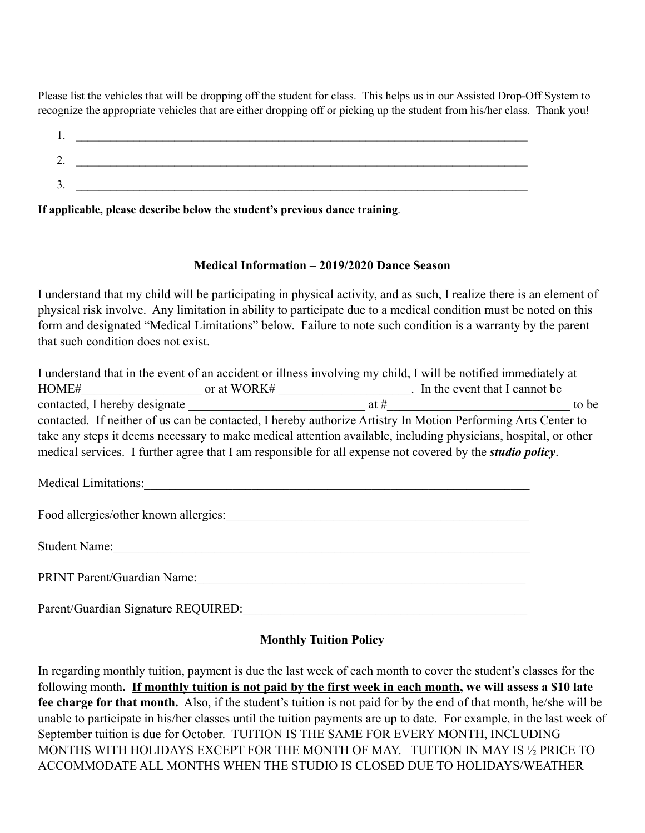Please list the vehicles that will be dropping off the student for class. This helps us in our Assisted Drop-Off System to recognize the appropriate vehicles that are either dropping off or picking up the student from his/her class. Thank you!

| . .     |  |
|---------|--|
| ⌒<br>∠. |  |
| ∍<br>J. |  |
|         |  |

**If applicable, please describe below the student's previous dance training**.

#### **Medical Information – 2019/2020 Dance Season**

I understand that my child will be participating in physical activity, and as such, I realize there is an element of physical risk involve. Any limitation in ability to participate due to a medical condition must be noted on this form and designated "Medical Limitations" below. Failure to note such condition is a warranty by the parent that such condition does not exist.

|                                                                                                                   |             |      | I understand that in the event of an accident or illness involving my child, I will be notified immediately at  |
|-------------------------------------------------------------------------------------------------------------------|-------------|------|-----------------------------------------------------------------------------------------------------------------|
| HOME#                                                                                                             | or at WORK# |      | . In the event that I cannot be                                                                                 |
| contacted, I hereby designate                                                                                     |             | at # | to be                                                                                                           |
|                                                                                                                   |             |      | contacted. If neither of us can be contacted, I hereby authorize Artistry In Motion Performing Arts Center to   |
|                                                                                                                   |             |      | take any steps it deems necessary to make medical attention available, including physicians, hospital, or other |
| medical services. I further agree that I am responsible for all expense not covered by the <i>studio policy</i> . |             |      |                                                                                                                 |
|                                                                                                                   |             |      |                                                                                                                 |

Medical Limitations:

Food allergies/other known allergies:\_\_\_\_\_\_\_\_\_\_\_\_\_\_\_\_\_\_\_\_\_\_\_\_\_\_\_\_\_\_\_\_\_\_\_\_\_\_\_\_\_\_\_\_\_\_\_\_

Student Name:\_\_\_\_\_\_\_\_\_\_\_\_\_\_\_\_\_\_\_\_\_\_\_\_\_\_\_\_\_\_\_\_\_\_\_\_\_\_\_\_\_\_\_\_\_\_\_\_\_\_\_\_\_\_\_\_\_\_\_\_\_\_\_\_\_\_

PRINT Parent/Guardian Name:\_\_\_\_\_\_\_\_\_\_\_\_\_\_\_\_\_\_\_\_\_\_\_\_\_\_\_\_\_\_\_\_\_\_\_\_\_\_\_\_\_\_\_\_\_\_\_\_\_\_\_\_

Parent/Guardian Signature REQUIRED:\_\_\_\_\_\_\_\_\_\_\_\_\_\_\_\_\_\_\_\_\_\_\_\_\_\_\_\_\_\_\_\_\_\_\_\_\_\_\_\_\_\_\_\_\_

## **Monthly Tuition Policy**

In regarding monthly tuition, payment is due the last week of each month to cover the student's classes for the following month**. If monthly tuition is not paid by the first week in each month, we will assess a \$10 late fee charge for that month.** Also, if the student's tuition is not paid for by the end of that month, he/she will be unable to participate in his/her classes until the tuition payments are up to date. For example, in the last week of September tuition is due for October. TUITION IS THE SAME FOR EVERY MONTH, INCLUDING MONTHS WITH HOLIDAYS EXCEPT FOR THE MONTH OF MAY. TUITION IN MAY IS ½ PRICE TO ACCOMMODATE ALL MONTHS WHEN THE STUDIO IS CLOSED DUE TO HOLIDAYS/WEATHER